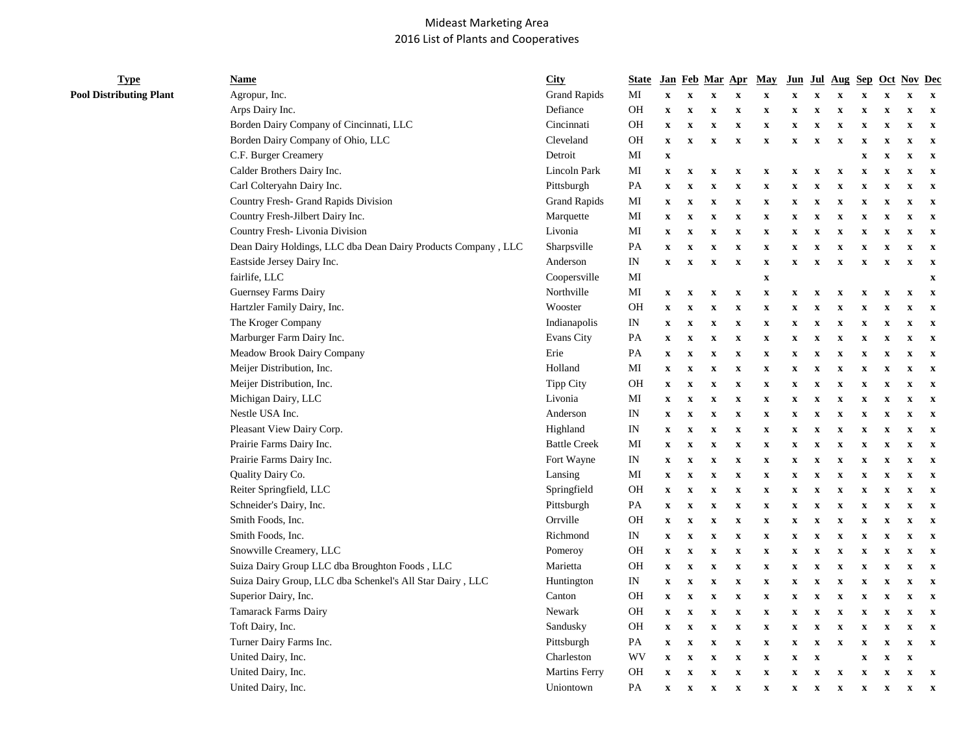## Mideast Marketing Area 2016 List of Plants and Cooperatives

**Type Pool Distributing Plant** 

| Name                                                          | <b>City</b>          | <b>State</b>               | <b>Jan</b>                |                           | Feb Mar                 | Apr                       | May          | $J$ un      | Jul                       | Aug                       | <b>Sep</b>                |                           | <b>Oct Nov Dec</b>      |                           |
|---------------------------------------------------------------|----------------------|----------------------------|---------------------------|---------------------------|-------------------------|---------------------------|--------------|-------------|---------------------------|---------------------------|---------------------------|---------------------------|-------------------------|---------------------------|
| Agropur, Inc.                                                 | <b>Grand Rapids</b>  | MI                         | $\boldsymbol{\mathrm{X}}$ | $\mathbf x$               | X                       | $\mathbf X$               | $\mathbf X$  | x           | $\mathbf x$               | $\mathbf X$               | $\boldsymbol{\mathrm{X}}$ | $\mathbf x$               | $\mathbf x$             | $\boldsymbol{\mathrm{X}}$ |
| Arps Dairy Inc.                                               | Defiance             | <b>OH</b>                  | $\mathbf X$               | $\mathbf X$               | $\mathbf x$             | $\mathbf X$               | $\mathbf X$  | x           | $\mathbf X$               | $\mathbf x$               | $\mathbf X$               | $\mathbf x$               | $\mathbf x$             | $\mathbf x$               |
| Borden Dairy Company of Cincinnati, LLC                       | Cincinnati           | <b>OH</b>                  | $\mathbf X$               | $\mathbf X$               | $\mathbf x$             | $\mathbf X$               | $\mathbf X$  | $\mathbf x$ | $\mathbf X$               | $\mathbf x$               | $\mathbf X$               | $\mathbf x$               | $\mathbf x$             | $\mathbf x$               |
| Borden Dairy Company of Ohio, LLC                             | Cleveland            | <b>OH</b>                  | $\mathbf x$               | $\mathbf X$               | X                       | $\mathbf X$               | $\mathbf X$  | X           | $\mathbf X$               | $\mathbf x$               | $\boldsymbol{\mathrm{X}}$ | $\mathbf x$               | $\mathbf x$             | $\mathbf X$               |
| C.F. Burger Creamery                                          | Detroit              | MI                         | $\mathbf x$               |                           |                         |                           |              |             |                           |                           | $\boldsymbol{\mathrm{X}}$ | $\mathbf x$               | $\mathbf x$             | $\boldsymbol{\mathrm{X}}$ |
| Calder Brothers Dairy Inc.                                    | Lincoln Park         | MI                         | $\mathbf X$               | $\mathbf X$               | $\mathbf x$             | $\mathbf X$               | $\mathbf X$  | x           | $\mathbf X$               | $\mathbf x$               | $\boldsymbol{\mathrm{X}}$ | $\mathbf x$               | $\mathbf x$             | $\boldsymbol{\mathrm{X}}$ |
| Carl Colteryahn Dairy Inc.                                    | Pittsburgh           | PA                         | $\mathbf x$               | $\mathbf X$               | $\mathbf x$             | $\mathbf x$               | $\mathbf X$  | x           | $\mathbf X$               | $\mathbf x$               | X                         | $\mathbf X$               | $\mathbf x$             | $\boldsymbol{\mathrm{X}}$ |
| Country Fresh- Grand Rapids Division                          | <b>Grand Rapids</b>  | MI                         | $\mathbf X$               | $\mathbf X$               | X                       | $\mathbf X$               | $\mathbf x$  | x           | $\mathbf x$               | $\mathbf x$               | $\boldsymbol{\mathrm{X}}$ | $\mathbf x$               | $\mathbf x$             | $\boldsymbol{\mathrm{X}}$ |
| Country Fresh-Jilbert Dairy Inc.                              | Marquette            | МI                         | $\boldsymbol{\mathrm{X}}$ | $\boldsymbol{\mathrm{X}}$ | X                       | $\mathbf X$               | $\mathbf X$  | X           | X                         | $\boldsymbol{\mathrm{X}}$ | x                         | $\mathbf x$               | $\mathbf x$             | $\boldsymbol{\mathrm{X}}$ |
| Country Fresh-Livonia Division                                | Livonia              | MI                         | $\mathbf x$               | $\mathbf X$               | $\mathbf x$             | $\mathbf X$               | $\mathbf X$  | x           | $\mathbf X$               | $\mathbf x$               | $\boldsymbol{\mathrm{X}}$ | $\mathbf x$               | X                       | $\boldsymbol{\mathrm{X}}$ |
| Dean Dairy Holdings, LLC dba Dean Dairy Products Company, LLC | Sharpsville          | PA                         | $\mathbf X$               | $\mathbf X$               | X                       | $\mathbf X$               | $\mathbf{x}$ | $\mathbf x$ | $\mathbf{x}$              | $\mathbf x$               | $\boldsymbol{\mathrm{X}}$ | $\mathbf x$               | $\mathbf x$             | $\mathbf X$               |
| Eastside Jersey Dairy Inc.                                    | Anderson             | $\mathop{\rm IN}\nolimits$ | $\boldsymbol{\mathrm{X}}$ | $\mathbf X$               | X                       | $\mathbf X$               | $\mathbf x$  | X           | $\mathbf x$               | $\mathbf x$               | $\boldsymbol{\mathrm{X}}$ | $\mathbf x$               | $\mathbf x$             | $\boldsymbol{\mathrm{X}}$ |
| fairlife, LLC                                                 | Coopersville         | MI                         |                           |                           |                         |                           | $\mathbf X$  |             |                           |                           |                           |                           |                         | $\mathbf x$               |
| Guernsey Farms Dairy                                          | Northville           | MI                         | $\mathbf X$               | $\mathbf X$               | X                       | $\mathbf X$               | $\mathbf X$  | X           | $\boldsymbol{\mathrm{X}}$ | $\mathbf x$               | x                         | $\mathbf x$               | $\mathbf x$             | $\boldsymbol{\mathrm{X}}$ |
| Hartzler Family Dairy, Inc.                                   | Wooster              | <b>OH</b>                  | $\mathbf X$               | $\mathbf X$               | $\mathbf x$             | $\mathbf x$               | $\mathbf X$  | $\mathbf x$ | $\mathbf X$               | $\mathbf x$               | $\boldsymbol{\mathrm{X}}$ | $\mathbf x$               | $\mathbf x$             | $\mathbf X$               |
| The Kroger Company                                            | Indianapolis         | IN                         | $\mathbf x$               | $\mathbf X$               | $\mathbf x$             | $\mathbf X$               | $\mathbf X$  | $\mathbf x$ | $\mathbf X$               | $\mathbf x$               | $\boldsymbol{\mathrm{X}}$ | $\mathbf x$               | $\mathbf x$             | $\mathbf X$               |
| Marburger Farm Dairy Inc.                                     | Evans City           | PA                         | $\mathbf x$               | $\mathbf X$               | X                       | $\mathbf X$               | $\mathbf X$  | $\mathbf x$ | $\mathbf x$               | $\mathbf x$               | $\boldsymbol{\mathrm{X}}$ | $\mathbf x$               | $\mathbf x$             | $\boldsymbol{\mathrm{X}}$ |
| Meadow Brook Dairy Company                                    | Erie                 | PA                         | $\mathbf X$               | $\mathbf X$               | $\overline{\mathbf{X}}$ | $\mathbf x$               | $\mathbf X$  | x           | $\mathbf x$               | $\mathbf X$               | $\boldsymbol{\mathrm{x}}$ | $\boldsymbol{\mathrm{X}}$ | X                       | $\mathbf x$               |
| Meijer Distribution, Inc.                                     | Holland              | MI                         | $\mathbf X$               | $\mathbf X$               | $\mathbf x$             | $\mathbf X$               | $\mathbf X$  | x           | $\mathbf X$               | $\mathbf x$               | X                         | $\mathbf x$               | $\mathbf x$             | $\boldsymbol{\mathrm{X}}$ |
| Meijer Distribution, Inc.                                     | <b>Tipp City</b>     | <b>OH</b>                  | $\mathbf X$               | $\mathbf X$               | $\mathbf x$             | $\mathbf X$               | $\mathbf X$  | x           | $\mathbf X$               | $\mathbf x$               | X                         | $\mathbf X$               | $\mathbf x$             | $\boldsymbol{\mathrm{X}}$ |
| Michigan Dairy, LLC                                           | Livonia              | MI                         | $\mathbf x$               | $\mathbf X$               | $\mathbf x$             | $\mathbf X$               | $\mathbf X$  | $\mathbf x$ | X                         | $\mathbf x$               | $\boldsymbol{\mathrm{X}}$ | $\boldsymbol{\mathrm{X}}$ | $\mathbf x$             | $\mathbf X$               |
| Nestle USA Inc.                                               | Anderson             | IN                         | $\mathbf x$               | $\mathbf X$               | $\mathbf x$             | $\mathbf X$               | $\mathbf X$  | x           | $\mathbf X$               | $\mathbf x$               | $\boldsymbol{\mathrm{X}}$ | $\mathbf x$               | $\mathbf x$             | $\mathbf X$               |
| Pleasant View Dairy Corp.                                     | Highland             | IN                         | $\mathbf X$               | $\mathbf X$               | $\mathbf{x}$            | $\mathbf X$               | $\mathbf{x}$ | $\mathbf x$ | X                         | $\mathbf{x}$              | $\boldsymbol{\mathrm{X}}$ | $\mathbf x$               | $\mathbf x$             | $\mathbf X$               |
| Prairie Farms Dairy Inc.                                      | <b>Battle Creek</b>  | MI                         | $\mathbf x$               | $\mathbf X$               | $\mathbf x$             | $\mathbf X$               | $\mathbf X$  | $\mathbf x$ | $\mathbf X$               | $\mathbf x$               | $\mathbf X$               | $\boldsymbol{\mathrm{X}}$ | $\mathbf x$             | $\boldsymbol{\mathrm{X}}$ |
| Prairie Farms Dairy Inc.                                      | Fort Wayne           | IN                         | $\mathbf x$               | $\boldsymbol{\mathrm{X}}$ | X                       | $\mathbf x$               | X            | X           | X                         | $\mathbf x$               | $\mathbf{x}$              | $\mathbf x$               | $\mathbf x$             | $\boldsymbol{\mathrm{X}}$ |
| Quality Dairy Co.                                             | Lansing              | MI                         | $\mathbf x$               | $\boldsymbol{\mathrm{X}}$ | $\mathbf x$             | $\mathbf X$               | $\mathbf X$  | x           | $\mathbf X$               | $\mathbf x$               | X                         | $\mathbf x$               | $\mathbf x$             | $\boldsymbol{\mathrm{X}}$ |
| Reiter Springfield, LLC                                       | Springfield          | <b>OH</b>                  | $\mathbf x$               | $\mathbf X$               | X                       | $\mathbf X$               | $\mathbf X$  | $\mathbf x$ | $\mathbf X$               | $\mathbf x$               | $\boldsymbol{\mathrm{X}}$ | $\mathbf x$               | $\mathbf x$             | $\mathbf X$               |
| Schneider's Dairy, Inc.                                       | Pittsburgh           | PA                         | $\mathbf X$               | $\mathbf X$               | $\mathbf x$             | $\mathbf x$               | X            | x           | $\mathbf X$               | $\mathbf x$               | $\boldsymbol{\mathrm{X}}$ | $\mathbf x$               | $\mathbf x$             | $\mathbf X$               |
| Smith Foods, Inc.                                             | Orrville             | <b>OH</b>                  | $\mathbf x$               | $\mathbf X$               | $\overline{\mathbf{X}}$ | $\mathbf X$               | $\mathbf X$  | $\mathbf x$ | $\mathbf x$               | $\mathbf x$               | $\boldsymbol{\mathrm{X}}$ | $\mathbf x$               | $\mathbf{x}$            | $\boldsymbol{\mathrm{X}}$ |
| Smith Foods, Inc.                                             | Richmond             | IN                         | $\mathbf X$               | $\mathbf X$               | $\overline{\mathbf{X}}$ | $\mathbf X$               | $\mathbf X$  | x           | $\mathbf X$               | $\mathbf x$               | $\boldsymbol{\mathrm{X}}$ | $\boldsymbol{\mathrm{X}}$ | $\mathbf x$             | $\boldsymbol{\mathrm{X}}$ |
| Snowville Creamery, LLC                                       | Pomeroy              | OH                         | $\mathbf X$               | $\mathbf X$               | $\mathbf x$             | $\mathbf X$               | $\mathbf X$  | x           | $\mathbf X$               | $\mathbf x$               | X                         | $\mathbf X$               | $\mathbf x$             | $\boldsymbol{\mathrm{X}}$ |
| Suiza Dairy Group LLC dba Broughton Foods, LLC                | Marietta             | <b>OH</b>                  | $\mathbf X$               | $\mathbf x$               | X                       | $\mathbf X$               | $\mathbf x$  | X           | $\boldsymbol{\mathrm{X}}$ | $\mathbf x$               | $\boldsymbol{\mathrm{X}}$ | $\mathbf x$               | $\overline{\mathbf{X}}$ | $\boldsymbol{\mathrm{X}}$ |
| Suiza Dairy Group, LLC dba Schenkel's All Star Dairy, LLC     | Huntington           | IN                         | $\boldsymbol{\mathrm{X}}$ | $\boldsymbol{\mathrm{X}}$ | X                       | $\boldsymbol{\mathrm{X}}$ | X            | X           | X                         | $\boldsymbol{\mathrm{X}}$ | $\boldsymbol{\mathrm{X}}$ | $\boldsymbol{\mathrm{X}}$ | $\mathbf x$             | $\boldsymbol{\mathrm{X}}$ |
| Superior Dairy, Inc.                                          | Canton               | <b>OH</b>                  | $\mathbf x$               | $\mathbf X$               | $\mathbf x$             | $\mathbf x$               | $\mathbf X$  | x           | $\mathbf X$               | $\mathbf x$               | $\boldsymbol{\mathrm{X}}$ | $\mathbf x$               | X                       | $\mathbf X$               |
| Tamarack Farms Dairy                                          | Newark               | OH                         | $\mathbf X$               | $\mathbf X$               | $\overline{\mathbf{X}}$ | $\mathbf X$               | $\mathbf X$  | $\mathbf x$ | $\mathbf X$               | $\mathbf x$               | $\boldsymbol{\mathrm{X}}$ | $\mathbf x$               | $\mathbf x$             | $\boldsymbol{\mathrm{X}}$ |
| Toft Dairy, Inc.                                              | Sandusky             | OH                         | $\mathbf X$               | $\mathbf X$               | $\mathbf x$             | $\mathbf X$               | X            | x           | X                         | $\mathbf x$               | $\mathbf{x}$              | $\mathbf x$               | $\mathbf x$             | $\mathbf X$               |
| Turner Dairy Farms Inc.                                       | Pittsburgh           | PA                         | $\mathbf X$               | $\mathbf X$               | $\mathbf x$             | $\mathbf X$               | $\mathbf X$  | $\mathbf x$ | $\mathbf X$               | $\mathbf x$               | $\mathbf X$               | $\mathbf X$               | $\mathbf x$             | $\mathbf X$               |
| United Dairy, Inc.                                            | Charleston           | WV                         | $\mathbf x$               | $\mathbf X$               | X                       | $\mathbf X$               | $\mathbf x$  | X           | $\mathbf x$               |                           | $\boldsymbol{\mathrm{X}}$ | $\mathbf x$               | $\mathbf X$             |                           |
| United Dairy, Inc.                                            | <b>Martins Ferry</b> | <b>OH</b>                  | X                         | $\mathbf X$               | $\mathbf x$             | $\mathbf x$               | $\mathbf X$  | x           | $\mathbf x$               | $\mathbf x$               | $\boldsymbol{\mathrm{X}}$ | $\mathbf X$               | $\mathbf x$             | $\mathbf X$               |
| United Dairy, Inc.                                            | Uniontown            | PA                         | $\mathbf{x}$              | $\mathbf x$               | $\mathbf{x}$            | $\mathbf X$               | $\mathbf{x}$ | $\mathbf X$ | $\mathbf{x}$              | $\mathbf{x}$              | $\mathbf{x}$              | $\mathbf X$               | $\mathbf X$             | $\mathbf X$               |
|                                                               |                      |                            |                           |                           |                         |                           |              |             |                           |                           |                           |                           |                         |                           |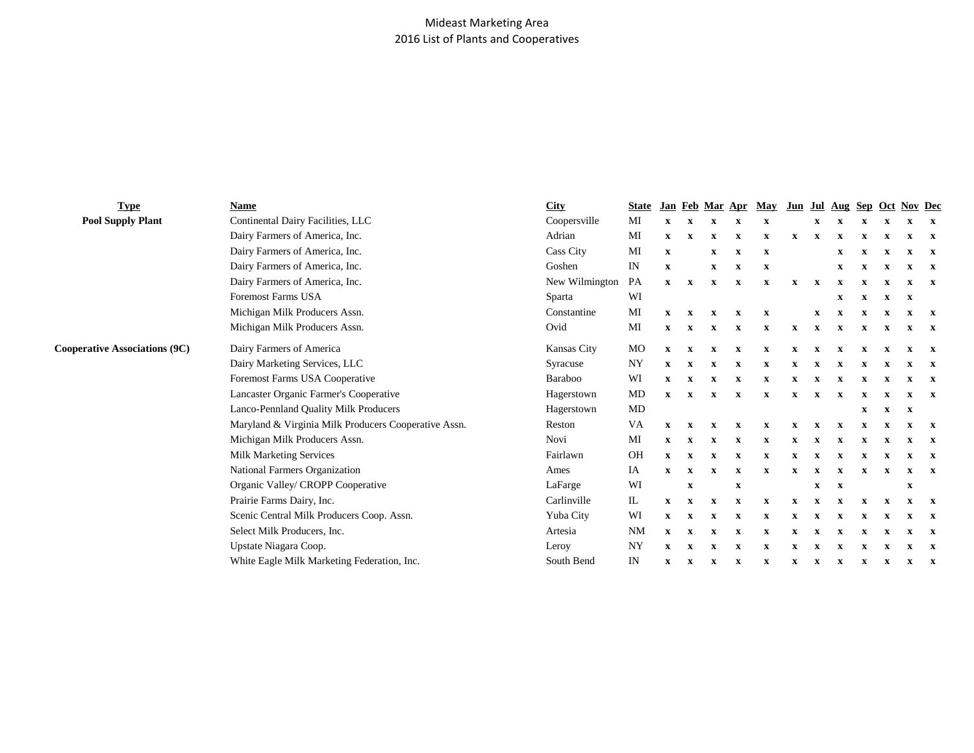## Mideast Marketing Area 2016 List of Plants and Cooperatives

| <b>Type</b>                          | Name                                                 | City             | <b>State</b> |                           |              | Jan Feb Mar Apr |              | May                       |              |              |             |              |              | Jun Jul Aug Sep Oct Nov Dec |              |
|--------------------------------------|------------------------------------------------------|------------------|--------------|---------------------------|--------------|-----------------|--------------|---------------------------|--------------|--------------|-------------|--------------|--------------|-----------------------------|--------------|
| <b>Pool Supply Plant</b>             | Continental Dairy Facilities, LLC                    | Coopersville     | MI           | $\boldsymbol{\mathrm{X}}$ | $\mathbf X$  | $\mathbf x$     |              | x                         |              | X            |             | $\mathbf x$  | $\mathbf x$  | $\mathbf x$                 | $\mathbf{x}$ |
|                                      | Dairy Farmers of America, Inc.                       | Adrian           | MI           | $\mathbf{x}$              | $\mathbf x$  | X               | X            | x                         | x            | $\mathbf x$  | $\mathbf x$ | $\mathbf x$  | $\mathbf x$  | x                           | $\mathbf{x}$ |
|                                      | Dairy Farmers of America, Inc.                       | <b>Cass City</b> | MI           | $\mathbf{x}$              |              | $\mathbf x$     | $\mathbf{x}$ | $\mathbf x$               |              |              | X           | $\mathbf x$  | X            | $\mathbf x$                 | $\mathbf{x}$ |
|                                      | Dairy Farmers of America, Inc.                       | Goshen           | IN           | $\mathbf{x}$              |              | X               | X            | x                         |              |              | x           | $\mathbf{x}$ | $\mathbf x$  | X                           | $\mathbf{x}$ |
|                                      | Dairy Farmers of America, Inc.                       | New Wilmington   | PA           | $\mathbf{x}$              | $\mathbf x$  | X               | x            | $\boldsymbol{\mathrm{X}}$ | x            | $\mathbf x$  |             |              | x            | X                           | $\mathbf{x}$ |
|                                      | Foremost Farms USA                                   | Sparta           | WI           |                           |              |                 |              |                           |              |              | x           | $\mathbf x$  | $\mathbf{x}$ | $\mathbf x$                 |              |
|                                      | Michigan Milk Producers Assn.                        | Constantine      | MI           | X                         | x            | x               | X            | x                         |              | x            | x           | X            | x            | x                           | $\mathbf{x}$ |
|                                      | Michigan Milk Producers Assn.                        | Ovid             | MI           | X                         | X            | X               | x            | X                         | $\mathbf{x}$ | $\mathbf{x}$ | X           | $\mathbf x$  | $\mathbf x$  | x                           | $\mathbf{x}$ |
| <b>Cooperative Associations (9C)</b> | Dairy Farmers of America                             | Kansas City      | MO           | $\mathbf{x}$              | $\mathbf x$  | X               | X            | X                         | X            |              |             |              | x            | X                           | $\mathbf{x}$ |
|                                      | Dairy Marketing Services, LLC                        | Syracuse         | <b>NY</b>    | X                         | $\mathbf x$  | X               |              | x                         |              |              |             |              |              | x                           | $\mathbf{x}$ |
|                                      | Foremost Farms USA Cooperative                       | Baraboo          | WI           | $\mathbf{x}$              | $\mathbf x$  | X               |              | X                         |              |              |             |              | $\mathbf x$  | X                           | $\mathbf{x}$ |
|                                      | Lancaster Organic Farmer's Cooperative               | Hagerstown       | MD           | $\mathbf{x}$              | $\mathbf{x}$ | X               | X            | $\mathbf x$               | x            | $\mathbf x$  | $\mathbf x$ |              | x            | x                           | $\mathbf{x}$ |
|                                      | Lanco-Pennland Quality Milk Producers                | Hagerstown       | MD           |                           |              |                 |              |                           |              |              |             | X            | $\mathbf x$  | $\mathbf x$                 |              |
|                                      | Maryland & Virginia Milk Producers Cooperative Assn. | Reston           | VA           |                           |              |                 | x            | $\boldsymbol{\mathrm{X}}$ | x            |              | $\mathbf x$ | $\mathbf x$  |              |                             | $\mathbf{x}$ |
|                                      | Michigan Milk Producers Assn.                        | Novi             | MI           | $\mathbf{x}$              | $\mathbf x$  | X               |              | X                         |              |              |             |              | X            | x                           | $\mathbf{x}$ |
|                                      | Milk Marketing Services                              | Fairlawn         | <b>OH</b>    | $\mathbf{x}$              | $\mathbf X$  | $\mathbf X$     | $\mathbf x$  | $\mathbf x$               | x            | $\mathbf x$  | X           | $\mathbf X$  | X            | X                           | $\mathbf{x}$ |
|                                      | National Farmers Organization                        | Ames             | IA           | X                         | $\mathbf x$  | X               | x            | x                         | x            | $\mathbf x$  | $\mathbf x$ | $\mathbf x$  | X            | x                           | $\mathbf{x}$ |
|                                      | Organic Valley/ CROPP Cooperative                    | LaFarge          | WI           |                           | $\mathbf x$  |                 | $\mathbf x$  |                           |              | $\mathbf x$  | $\mathbf x$ |              |              | $\mathbf X$                 |              |
|                                      | Prairie Farms Dairy, Inc.                            | Carlinville      | IL           | $\mathbf{x}$              | X            | x               | X            | X                         | $\mathbf{x}$ | $\mathbf x$  |             | X            | $\mathbf x$  | x                           | $\mathbf{x}$ |
|                                      | Scenic Central Milk Producers Coop. Assn.            | Yuba City        | WI           | $\mathbf{x}$              | $\mathbf{x}$ | X               | X            | $\boldsymbol{\mathrm{X}}$ |              |              |             |              | x            | X                           | $\mathbf{x}$ |
|                                      | Select Milk Producers, Inc.                          | Artesia          | <b>NM</b>    | $\mathbf{x}$              | $\mathbf x$  | X               | x            | x                         | x            | $\mathbf x$  | X           | x            | x            | X                           | $\mathbf{x}$ |
|                                      | Upstate Niagara Coop.                                | Leroy            | <b>NY</b>    | $\mathbf x$               | $\mathbf x$  | X               |              | X                         |              |              |             |              |              | x                           | $\mathbf{x}$ |
|                                      | White Eagle Milk Marketing Federation, Inc.          | South Bend       | IN           | $\mathbf{x}$              | $\mathbf x$  | X               | X            | x                         | x            | $\mathbf x$  | X           | $\mathbf x$  | $\mathbf x$  | X                           | $\mathbf{x}$ |